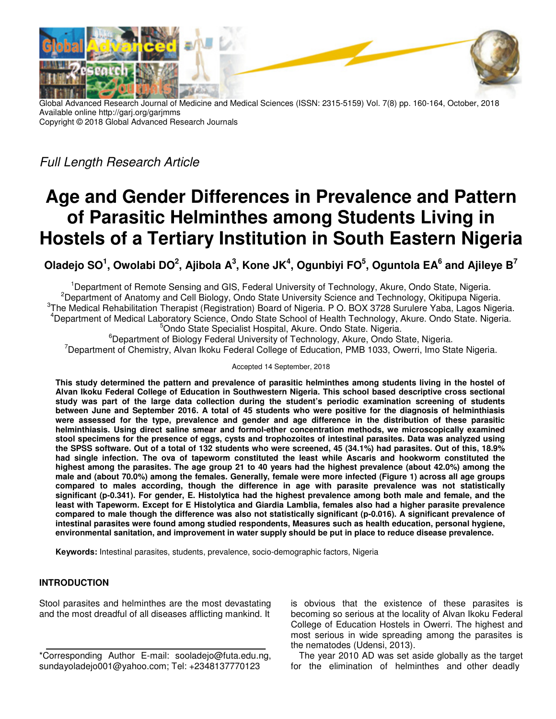

Global Advanced Research Journal of Medicine and Medical Sciences (ISSN: 2315-5159) Vol. 7(8) pp. 160-164, October, 2018 Available online http://garj.org/garjmms Copyright © 2018 Global Advanced Research Journals

*Full Length Research Article* 

# **Age and Gender Differences in Prevalence and Pattern of Parasitic Helminthes among Students Living in Hostels of a Tertiary Institution in South Eastern Nigeria**

**Oladejo SO<sup>1</sup> , Owolabi DO<sup>2</sup> , Ajibola A<sup>3</sup> , Kone JK<sup>4</sup> , Ogunbiyi FO<sup>5</sup> , Oguntola EA<sup>6</sup> and Ajileye B<sup>7</sup>**

<sup>1</sup>Department of Remote Sensing and GIS, Federal University of Technology, Akure, Ondo State, Nigeria. <sup>2</sup>Department of Anatomy and Cell Biology, Ondo State University Science and Technology, Okitipupa Nigeria. <sup>3</sup>The Medical Rehabilitation Therapist (Registration) Board of Nigeria. P O. BOX 3728 Surulere Yaba, Lagos Nigeria. <sup>4</sup>Department of Medical Laboratory Science, Ondo State School of Health Technology, Akure. Ondo State. Nigeria. <sup>5</sup>Ondo State Specialist Hospital, Akure. Ondo State. Nigeria.

<sup>6</sup>Department of Biology Federal University of Technology, Akure, Ondo State, Nigeria. <sup>7</sup>Department of Chemistry, Alvan Ikoku Federal College of Education, PMB 1033, Owerri, Imo State Nigeria.

#### Accepted 14 September, 2018

**This study determined the pattern and prevalence of parasitic helminthes among students living in the hostel of Alvan Ikoku Federal College of Education in Southwestern Nigeria. This school based descriptive cross sectional study was part of the large data collection during the student's periodic examination screening of students between June and September 2016. A total of 45 students who were positive for the diagnosis of helminthiasis were assessed for the type, prevalence and gender and age difference in the distribution of these parasitic helminthiasis. Using direct saline smear and formol-ether concentration methods, we microscopically examined stool specimens for the presence of eggs, cysts and trophozoites of intestinal parasites. Data was analyzed using the SPSS software. Out of a total of 132 students who were screened, 45 (34.1%) had parasites. Out of this, 18.9% had single infection. The ova of tapeworm constituted the least while Ascaris and hookworm constituted the highest among the parasites. The age group 21 to 40 years had the highest prevalence (about 42.0%) among the male and (about 70.0%) among the females. Generally, female were more infected (Figure 1) across all age groups compared to males according, though the difference in age with parasite prevalence was not statistically significant (p-0.341). For gender, E. Histolytica had the highest prevalence among both male and female, and the least with Tapeworm. Except for E Histolytica and Giardia Lamblia, females also had a higher parasite prevalence compared to male though the difference was also not statistically significant (p-0.016). A significant prevalence of intestinal parasites were found among studied respondents, Measures such as health education, personal hygiene, environmental sanitation, and improvement in water supply should be put in place to reduce disease prevalence.** 

**Keywords:** Intestinal parasites, students, prevalence, socio-demographic factors, Nigeria

#### **INTRODUCTION**

Stool parasites and helminthes are the most devastating and the most dreadful of all diseases afflicting mankind. It

is obvious that the existence of these parasites is becoming so serious at the locality of Alvan Ikoku Federal College of Education Hostels in Owerri. The highest and most serious in wide spreading among the parasites is the nematodes (Udensi, 2013).

The year 2010 AD was set aside globally as the target for the elimination of helminthes and other deadly

<sup>\*</sup>Corresponding Author E-mail: sooladejo@futa.edu.ng, sundayoladejo001@yahoo.com; Tel: +2348137770123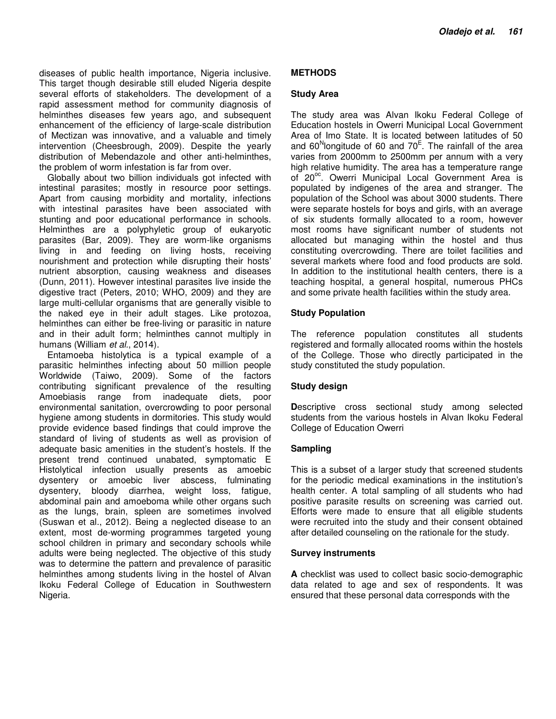diseases of public health importance, Nigeria inclusive. This target though desirable still eluded Nigeria despite several efforts of stakeholders. The development of a rapid assessment method for community diagnosis of helminthes diseases few years ago, and subsequent enhancement of the efficiency of large-scale distribution of Mectizan was innovative, and a valuable and timely intervention (Cheesbrough, 2009). Despite the yearly distribution of Mebendazole and other anti-helminthes, the problem of worm infestation is far from over.

Globally about two billion individuals got infected with intestinal parasites; mostly in resource poor settings. Apart from causing morbidity and mortality, infections with intestinal parasites have been associated with stunting and poor educational performance in schools. Helminthes are a polyphyletic group of eukaryotic parasites (Bar, 2009). They are worm-like organisms living in and feeding on living hosts, receiving nourishment and protection while disrupting their hosts' nutrient absorption, causing weakness and diseases (Dunn, 2011). However intestinal parasites live inside the digestive tract (Peters, 2010; WHO, 2009) and they are large multi-cellular organisms that are generally visible to the naked eye in their adult stages. Like protozoa, helminthes can either be free-living or parasitic in nature and in their adult form; helminthes cannot multiply in humans (William *et al.*, 2014).

Entamoeba histolytica is a typical example of a parasitic helminthes infecting about 50 million people Worldwide (Taiwo, 2009). Some of the factors contributing significant prevalence of the resulting Amoebiasis range from inadequate diets, poor environmental sanitation, overcrowding to poor personal hygiene among students in dormitories. This study would provide evidence based findings that could improve the standard of living of students as well as provision of adequate basic amenities in the student's hostels. If the present trend continued unabated, symptomatic E Histolytical infection usually presents as amoebic dysentery or amoebic liver abscess, fulminating dysentery, bloody diarrhea, weight loss, fatigue, abdominal pain and amoeboma while other organs such as the lungs, brain, spleen are sometimes involved (Suswan et al., 2012). Being a neglected disease to an extent, most de-worming programmes targeted young school children in primary and secondary schools while adults were being neglected. The objective of this study was to determine the pattern and prevalence of parasitic helminthes among students living in the hostel of Alvan Ikoku Federal College of Education in Southwestern Nigeria.

# **METHODS**

### **Study Area**

The study area was Alvan Ikoku Federal College of Education hostels in Owerri Municipal Local Government Area of Imo State. It is located between latitudes of 50 and 60<sup>N</sup>longitude of 60 and 70 $^{\text{E}}$ . The rainfall of the area varies from 2000mm to 2500mm per annum with a very high relative humidity. The area has a temperature range of 20<sup>oc</sup>. Owerri Municipal Local Government Area is populated by indigenes of the area and stranger. The population of the School was about 3000 students. There were separate hostels for boys and girls, with an average of six students formally allocated to a room, however most rooms have significant number of students not allocated but managing within the hostel and thus constituting overcrowding. There are toilet facilities and several markets where food and food products are sold. In addition to the institutional health centers, there is a teaching hospital, a general hospital, numerous PHCs and some private health facilities within the study area.

# **Study Population**

The reference population constitutes all students registered and formally allocated rooms within the hostels of the College. Those who directly participated in the study constituted the study population.

#### **Study design**

**Descriptive cross sectional study among selected** students from the various hostels in Alvan Ikoku Federal College of Education Owerri

#### **Sampling**

This is a subset of a larger study that screened students for the periodic medical examinations in the institution's health center. A total sampling of all students who had positive parasite results on screening was carried out. Efforts were made to ensure that all eligible students were recruited into the study and their consent obtained after detailed counseling on the rationale for the study.

#### **Survey instruments**

**A** checklist was used to collect basic socio-demographic data related to age and sex of respondents. It was ensured that these personal data corresponds with the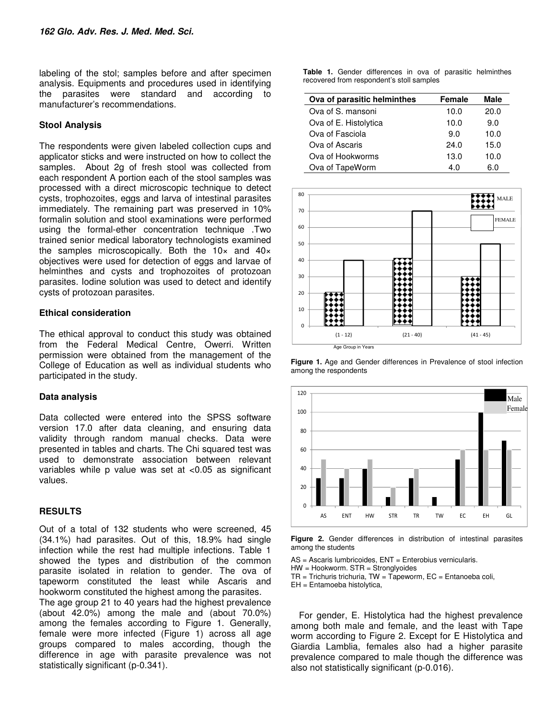labeling of the stol; samples before and after specimen analysis. Equipments and procedures used in identifying the parasites were standard and according to manufacturer's recommendations.

#### **Stool Analysis**

The respondents were given labeled collection cups and applicator sticks and were instructed on how to collect the samples. About 2g of fresh stool was collected from each respondent A portion each of the stool samples was processed with a direct microscopic technique to detect cysts, trophozoites, eggs and larva of intestinal parasites immediately. The remaining part was preserved in 10% formalin solution and stool examinations were performed using the formal-ether concentration technique .Two trained senior medical laboratory technologists examined the samples microscopically. Both the  $10\times$  and  $40\times$ objectives were used for detection of eggs and larvae of helminthes and cysts and trophozoites of protozoan parasites. Iodine solution was used to detect and identify cysts of protozoan parasites.

#### **Ethical consideration**

The ethical approval to conduct this study was obtained from the Federal Medical Centre, Owerri. Written permission were obtained from the management of the College of Education as well as individual students who participated in the study.

#### **Data analysis**

Data collected were entered into the SPSS software version 17.0 after data cleaning, and ensuring data validity through random manual checks. Data were presented in tables and charts. The Chi squared test was used to demonstrate association between relevant variables while p value was set at <0.05 as significant values.

#### **RESULTS**

Out of a total of 132 students who were screened, 45 (34.1%) had parasites. Out of this, 18.9% had single infection while the rest had multiple infections. Table 1 showed the types and distribution of the common parasite isolated in relation to gender. The ova of tapeworm constituted the least while Ascaris and hookworm constituted the highest among the parasites. The age group 21 to 40 years had the highest prevalence (about 42.0%) among the male and (about 70.0%) among the females according to Figure 1. Generally, female were more infected (Figure 1) across all age groups compared to males according, though the difference in age with parasite prevalence was not

statistically significant (p-0.341).

**Table 1.** Gender differences in ova of parasitic helminthes recovered from respondent's stoll samples

| Ova of parasitic helminthes | Female | Male |
|-----------------------------|--------|------|
| Ova of S. mansoni           | 10.0   | 20.0 |
| Ova of E. Histolytica       | 10.0   | 9.0  |
| Ova of Fasciola             | 9.0    | 10.0 |
| Ova of Ascaris              | 24.0   | 15.0 |
| Ova of Hookworms            | 13.0   | 10.0 |
| Ova of TapeWorm             | 4.0    | 6.0  |







**Figure 2.** Gender differences in distribution of intestinal parasites among the students

AS = Ascaris lumbricoides, ENT = Enterobius vernicularis.

HW = Hookworm. STR = Stronglyoides

 $TR = Trichuris trichuria, TW = Tapeworm, EC = Entanoeba coli,$ 

EH = Entamoeba histolytica,

For gender, E. Histolytica had the highest prevalence among both male and female, and the least with Tape worm according to Figure 2. Except for E Histolytica and Giardia Lamblia, females also had a higher parasite prevalence compared to male though the difference was also not statistically significant (p-0.016).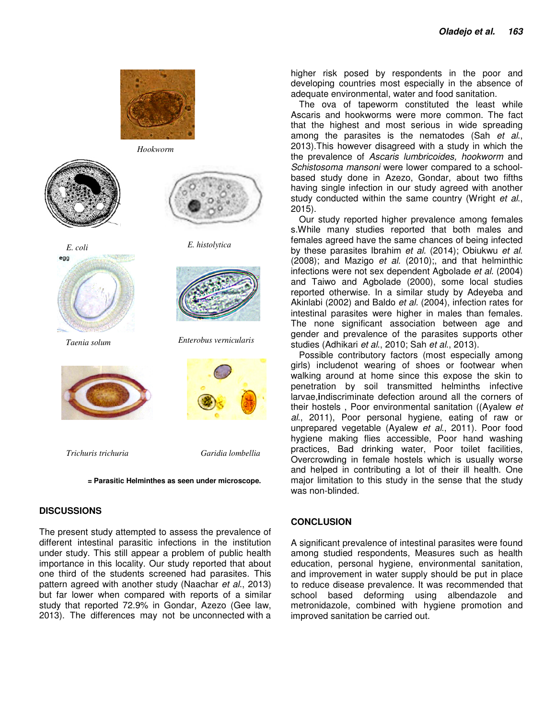

*Hookworm* 



egg



*Taenia solum Enterobus vernicularis* 



*Trichuris trichuria Garidia lombellia* 

 **= Parasitic Helminthes as seen under microscope.** 

# **DISCUSSIONS**

The present study attempted to assess the prevalence of different intestinal parasitic infections in the institution under study. This still appear a problem of public health importance in this locality. Our study reported that about one third of the students screened had parasites. This pattern agreed with another study (Naachar *et al*., 2013) but far lower when compared with reports of a similar study that reported 72.9% in Gondar, Azezo (Gee law, 2013). The differences may not be unconnected with a higher risk posed by respondents in the poor and developing countries most especially in the absence of adequate environmental, water and food sanitation.

The ova of tapeworm constituted the least while Ascaris and hookworms were more common. The fact that the highest and most serious in wide spreading among the parasites is the nematodes (Sah *et al*., 2013).This however disagreed with a study in which the the prevalence of *Ascaris lumbricoides, hookworm* and *Schistosoma mansoni* were lower compared to a schoolbased study done in Azezo, Gondar, about two fifths having single infection in our study agreed with another study conducted within the same country (Wright *et al*., 2015).

Our study reported higher prevalence among females s.While many studies reported that both males and females agreed have the same chances of being infected by these parasites Ibrahim *et al.* (2014); Obiukwu *et al*. (2008); and Mazigo *et al.* (2010);, and that helminthic infections were not sex dependent Agbolade *et al*. (2004) and Taiwo and Agbolade (2000), some local studies reported otherwise. In a similar study by Adeyeba and Akinlabi (2002) and Baldo *et al.* (2004), infection rates for intestinal parasites were higher in males than females. The none significant association between age and gender and prevalence of the parasites supports other studies (Adhikari *et al*., 2010; Sah *et al*., 2013).

Possible contributory factors (most especially among girls) includenot wearing of shoes or footwear when walking around at home since this expose the skin to penetration by soil transmitted helminths infective larvae,**i**ndiscriminate defection around all the corners of their hostels , Poor environmental sanitation ((Ayalew *et al*., 2011), Poor personal hygiene, eating of raw or unprepared vegetable (Ayalew *et al*., 2011). Poor food hygiene making flies accessible, Poor hand washing practices, Bad drinking water, Poor toilet facilities, Overcrowding in female hostels which is usually worse and helped in contributing a lot of their ill health. One major limitation to this study in the sense that the study was non-blinded.

# **CONCLUSION**

A significant prevalence of intestinal parasites were found among studied respondents, Measures such as health education, personal hygiene, environmental sanitation, and improvement in water supply should be put in place to reduce disease prevalence. It was recommended that school based deforming using albendazole and metronidazole, combined with hygiene promotion and improved sanitation be carried out.